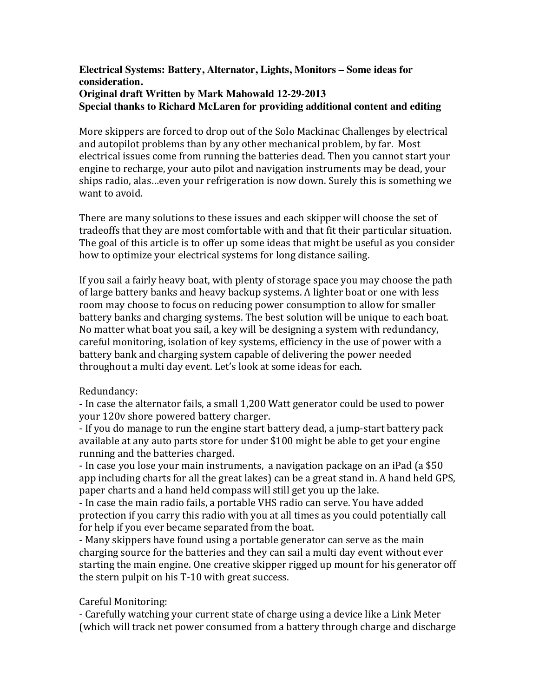### **Electrical Systems: Battery, Alternator, Lights, Monitors – Some ideas for consideration. Original draft Written by Mark Mahowald 12-29-2013 Special thanks to Richard McLaren for providing additional content and editing**

More skippers are forced to drop out of the Solo Mackinac Challenges by electrical and autopilot problems than by any other mechanical problem, by far. Most electrical issues come from running the batteries dead. Then you cannot start your engine to recharge, your auto pilot and navigation instruments may be dead, your ships radio, alas …even your refrigeration is now down. Surely this is something we want to avoid.

There are many solutions to these issues and each skipper will choose the set of tradeoffs that they are most comfortable with and that fit their particular situation. The goal of this article is to offer up some ideas that might be useful as you consider how to optimize your electrical systems for long distance sailing.

If you sail a fairly heavy boat, with plenty of storage space you may choose the path of large battery banks and heavy backup systems. A lighter boat or one with less room may choose to focus on reducing power consumption to allow for smaller battery banks and charging systems. The best solution will be unique to each boat. No matter what boat you sail, a key will be designing a system with redundancy, careful monitoring, isolation of key systems, efficiency in the use of power with a battery bank and charging system capable of delivering the power needed throughout a multi day event. Let's look at some ideas for each.

# Redundancy:

- In case the alternator fails, a small 1,200 Watt generator could be used to power your 120v shore powered battery charger.

- If you do manage to run the engine start battery dead, a jump-start battery pack available at any auto parts store for under \$100 might be able to get your engine running and the batteries charged.

- In case you lose your main instruments, a navigation package on an iPad (a \$50 app including charts for all the great lakes) can be a great stand in. A hand held GPS, paper charts and a hand held compass will still get you up the lake.

- In case the main radio fails, a portable VHS radio can serve. You have added protection if you carry this radio with you at all times as you could potentially call for help if you ever became separated from the boat.

- Many skippers have found using a portable generator can serve as the main charging source for the batteries and they can sail a multi day event without ever starting the main engine. One creative skipper rigged up mount for his generator off the stern pulpit on his T-10 with great success.

# Careful Monitoring:

- Carefully watching your current state of charge using a device like a Link Meter (which will track net power consumed from a battery through charge and discharge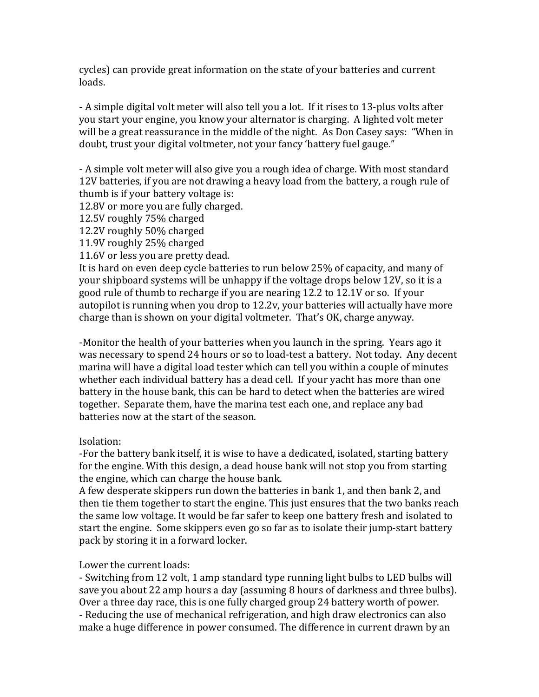cycles) can provide great information on the state of your batteries and current loads.

- A simple digital volt meter will also tell you a lot. If it rises to 13-plus volts after you start your engine, you know your alternator is charging. A lighted volt meter will be a great reassurance in the middle of the night. As Don Casey says: "When in doubt, trust your digital voltmeter, not your fancy 'battery fuel gauge."

- A simple volt meter will also give you a rough idea of charge. With most standard 12V batteries, if you are not drawing a heavy load from the battery, a rough rule of thumb is if your battery voltage is:

12.8V or more you are fully charged.

12.5V roughly 75% charged

12.2V roughly 50% charged

11.9V roughly 25% charged

11.6V or less you are pretty dead.

It is hard on even deep cycle batteries to run below 25% of capacity, and many of your shipboard systems will be unhappy if the voltage drops below 12V, so it is a good rule of thumb to recharge if you are nearing 12.2 to 12.1V or so. If your autopilot is running when you drop to 12.2v, your batteries will actually have more charge than is shown on your digital voltmeter. That's OK, charge anyway.

-Monitor the health of your batteries when you launch in the spring. Years ago it was necessary to spend 24 hours or so to load-test a battery. Not today. Any decent marina will have a digital load tester which can tell you within a couple of minutes whether each individual battery has a dead cell. If your yacht has more than one battery in the house bank, this can be hard to detect when the batteries are wired together. Separate them, have the marina test each one, and replace any bad batteries now at the start of the season.

# Isolation:

-For the battery bank itself, it is wise to have a dedicated, isolated, starting battery for the engine. With this design, a dead house bank will not stop you from starting the engine, which can charge the house bank.

A few desperate skippers run down the batteries in bank 1, and then bank 2, and then tie them together to start the engine. This just ensures that the two banks reach the same low voltage. It would be far safer to keep one battery fresh and isolated to start the engine. Some skippers even go so far as to isolate their jump-start battery pack by storing it in a forward locker.

Lower the current loads:

- Switching from 12 volt, 1 amp standard type running light bulbs to LED bulbs will save you about 22 amp hours a day (assuming 8 hours of darkness and three bulbs). Over a three day race, this is one fully charged group 24 battery worth of power. - Reducing the use of mechanical refrigeration, and high draw electronics can also make a huge difference in power consumed. The difference in current drawn by an